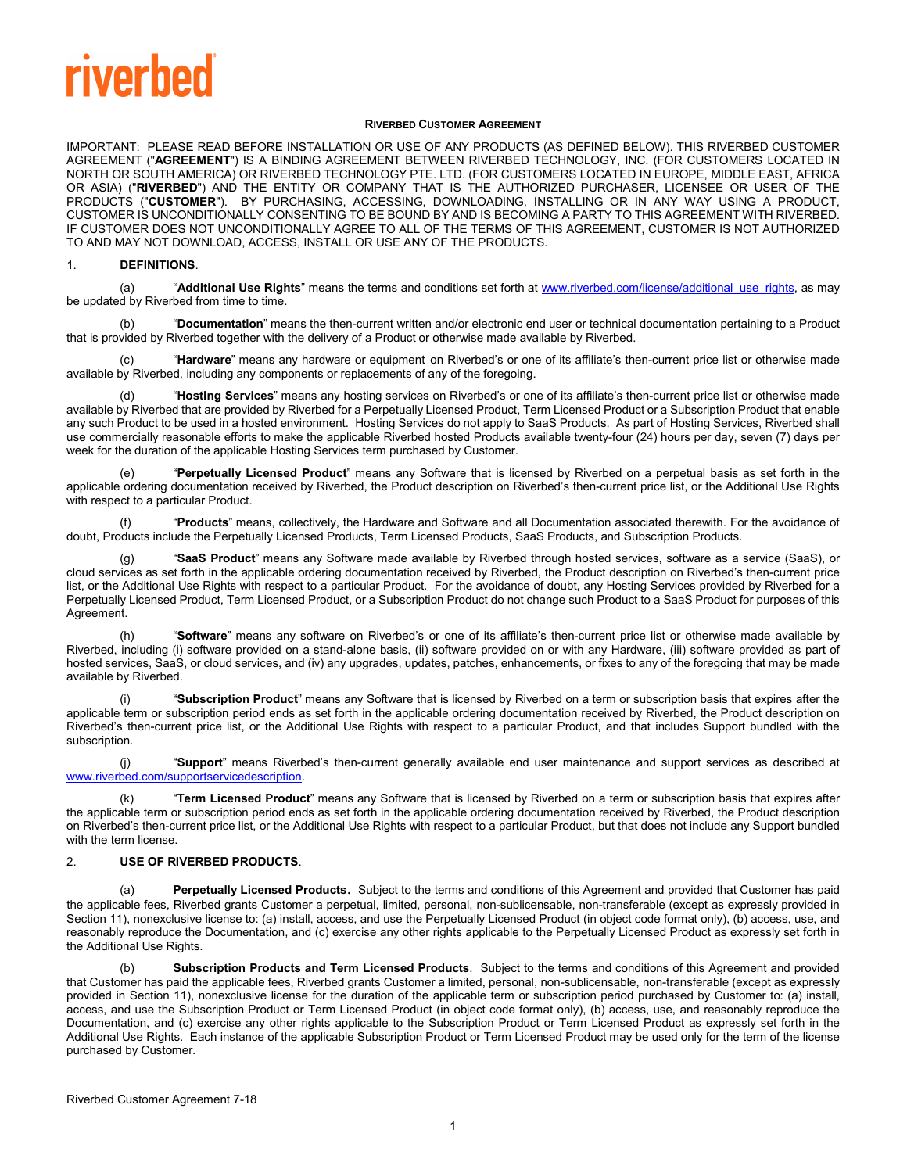# riverbed

#### **RIVERBED CUSTOMER AGREEMENT**

IMPORTANT: PLEASE READ BEFORE INSTALLATION OR USE OF ANY PRODUCTS (AS DEFINED BELOW). THIS RIVERBED CUSTOMER AGREEMENT ("**AGREEMENT**") IS A BINDING AGREEMENT BETWEEN RIVERBED TECHNOLOGY, INC. (FOR CUSTOMERS LOCATED IN NORTH OR SOUTH AMERICA) OR RIVERBED TECHNOLOGY PTE. LTD. (FOR CUSTOMERS LOCATED IN EUROPE, MIDDLE EAST, AFRICA OR ASIA) ("**RIVERBED**") AND THE ENTITY OR COMPANY THAT IS THE AUTHORIZED PURCHASER, LICENSEE OR USER OF THE PRODUCTS ("**CUSTOMER**"). BY PURCHASING, ACCESSING, DOWNLOADING, INSTALLING OR IN ANY WAY USING A PRODUCT, CUSTOMER IS UNCONDITIONALLY CONSENTING TO BE BOUND BY AND IS BECOMING A PARTY TO THIS AGREEMENT WITH RIVERBED. IF CUSTOMER DOES NOT UNCONDITIONALLY AGREE TO ALL OF THE TERMS OF THIS AGREEMENT, CUSTOMER IS NOT AUTHORIZED TO AND MAY NOT DOWNLOAD, ACCESS, INSTALL OR USE ANY OF THE PRODUCTS.

#### <span id="page-0-0"></span>1. **DEFINITIONS**.

(a) "Additional Use Rights" means the terms and conditions set forth a[t www.riverbed.com/license/additional\\_use\\_rights,](http://www.riverbed.com/license/additional_use_rights) as may be updated by Riverbed from time to time.

(b) "**Documentation**" means the then-current written and/or electronic end user or technical documentation pertaining to a Product that is provided by Riverbed together with the delivery of a Product or otherwise made available by Riverbed.

(c) "**Hardware**" means any hardware or equipment on Riverbed's or one of its affiliate's then-current price list or otherwise made available by Riverbed, including any components or replacements of any of the foregoing.

(d) "**Hosting Services**" means any hosting services on Riverbed's or one of its affiliate's then-current price list or otherwise made available by Riverbed that are provided by Riverbed for a Perpetually Licensed Product, Term Licensed Product or a Subscription Product that enable any such Product to be used in a hosted environment. Hosting Services do not apply to SaaS Products. As part of Hosting Services, Riverbed shall use commercially reasonable efforts to make the applicable Riverbed hosted Products available twenty-four (24) hours per day, seven (7) days per week for the duration of the applicable Hosting Services term purchased by Customer.

(e) "**Perpetually Licensed Product**" means any Software that is licensed by Riverbed on a perpetual basis as set forth in the applicable ordering documentation received by Riverbed, the Product description on Riverbed's then-current price list, or the Additional Use Rights with respect to a particular Product.

(f) "**Products**" means, collectively, the Hardware and Software and all Documentation associated therewith. For the avoidance of doubt, Products include the Perpetually Licensed Products, Term Licensed Products, SaaS Products, and Subscription Products.

(g) "**SaaS Product**" means any Software made available by Riverbed through hosted services, software as a service (SaaS), or cloud services as set forth in the applicable ordering documentation received by Riverbed, the Product description on Riverbed's then-current price list, or the Additional Use Rights with respect to a particular Product. For the avoidance of doubt, any Hosting Services provided by Riverbed for a Perpetually Licensed Product, Term Licensed Product, or a Subscription Product do not change such Product to a SaaS Product for purposes of this Agreement.

(h) "**Software**" means any software on Riverbed's or one of its affiliate's then-current price list or otherwise made available by Riverbed, including (i) software provided on a stand-alone basis, (ii) software provided on or with any Hardware, (iii) software provided as part of hosted services, SaaS, or cloud services, and (iv) any upgrades, updates, patches, enhancements, or fixes to any of the foregoing that may be made available by Riverbed.

(i) "**Subscription Product**" means any Software that is licensed by Riverbed on a term or subscription basis that expires after the applicable term or subscription period ends as set forth in the applicable ordering documentation received by Riverbed, the Product description on Riverbed's then-current price list, or the Additional Use Rights with respect to a particular Product, and that includes Support bundled with the subscription.

(j) "**Support**" means Riverbed's then-current generally available end user maintenance and support services as described at [www.riverbed.com/supportservicedescription.](http://www.riverbed.com/supportservicedescription)

(k) "**Term Licensed Product**" means any Software that is licensed by Riverbed on a term or subscription basis that expires after the applicable term or subscription period ends as set forth in the applicable ordering documentation received by Riverbed, the Product description on Riverbed's then-current price list, or the Additional Use Rights with respect to a particular Product, but that does not include any Support bundled with the term license.

#### 2. **USE OF RIVERBED PRODUCTS**.

(a) **Perpetually Licensed Products**. Subject to the terms and conditions of this Agreement and provided that Customer has paid the applicable fees, Riverbed grants Customer a perpetual, limited, personal, non-sublicensable, non-transferable (except as expressly provided in Section [11\)](#page-3-0), nonexclusive license to: (a) install, access, and use the Perpetually Licensed Product (in object code format only), (b) access, use, and reasonably reproduce the Documentation, and (c) exercise any other rights applicable to the Perpetually Licensed Product as expressly set forth in the Additional Use Rights.

Subscription Products and Term Licensed Products. Subject to the terms and conditions of this Agreement and provided that Customer has paid the applicable fees, Riverbed grants Customer a limited, personal, non-sublicensable, non-transferable (except as expressly provided in Section [11\)](#page-3-0), nonexclusive license for the duration of the applicable term or subscription period purchased by Customer to: (a) install, access, and use the Subscription Product or Term Licensed Product (in object code format only), (b) access, use, and reasonably reproduce the Documentation, and (c) exercise any other rights applicable to the Subscription Product or Term Licensed Product as expressly set forth in the Additional Use Rights. Each instance of the applicable Subscription Product or Term Licensed Product may be used only for the term of the license purchased by Customer.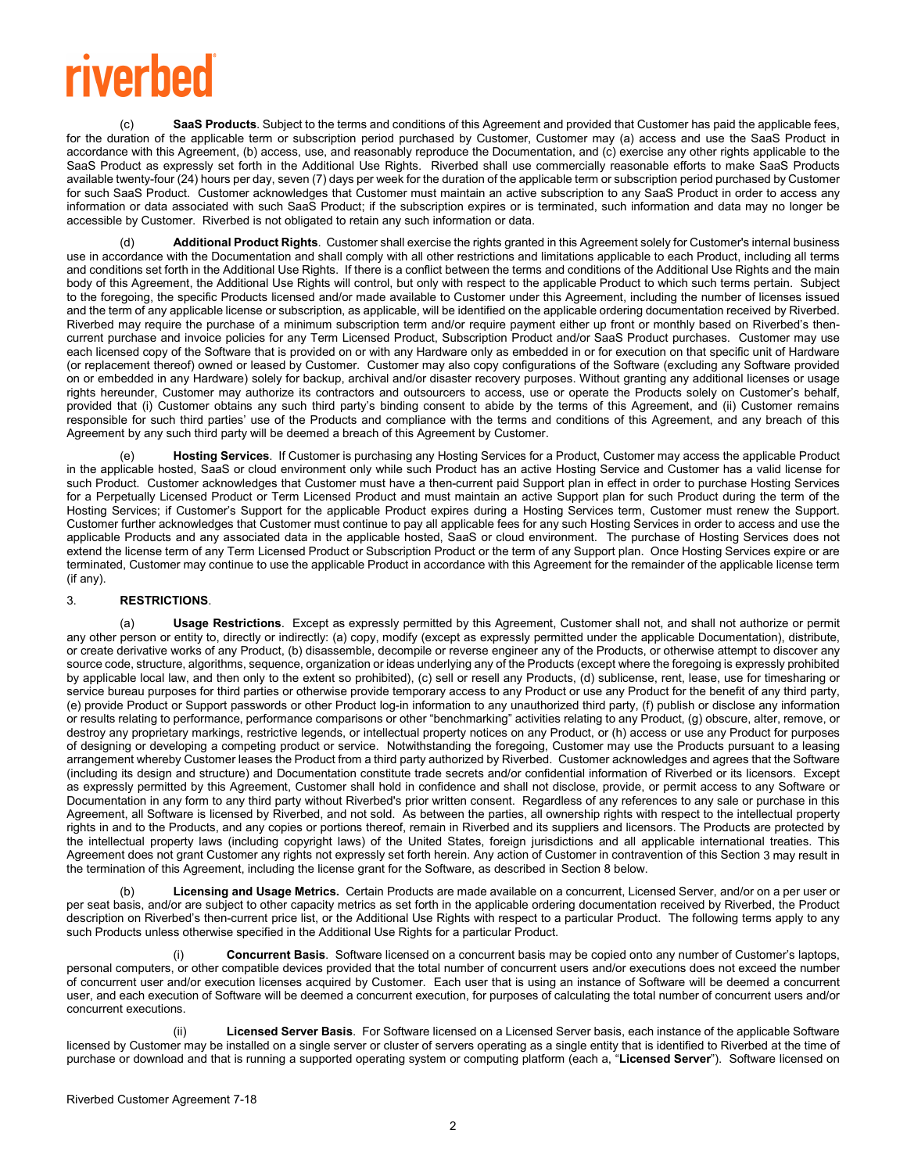# **riverbed**

SaaS Products. Subject to the terms and conditions of this Agreement and provided that Customer has paid the applicable fees, for the duration of the applicable term or subscription period purchased by Customer, Customer may (a) access and use the SaaS Product in accordance with this Agreement, (b) access, use, and reasonably reproduce the Documentation, and (c) exercise any other rights applicable to the SaaS Product as expressly set forth in the Additional Use Rights. Riverbed shall use commercially reasonable efforts to make SaaS Products available twenty-four (24) hours per day, seven (7) days per week for the duration of the applicable term or subscription period purchased by Customer for such SaaS Product. Customer acknowledges that Customer must maintain an active subscription to any SaaS Product in order to access any information or data associated with such SaaS Product; if the subscription expires or is terminated, such information and data may no longer be accessible by Customer. Riverbed is not obligated to retain any such information or data.

Additional Product Rights. Customer shall exercise the rights granted in this Agreement solely for Customer's internal business use in accordance with the Documentation and shall comply with all other restrictions and limitations applicable to each Product, including all terms and conditions set forth in the Additional Use Rights. If there is a conflict between the terms and conditions of the Additional Use Rights and the main body of this Agreement, the Additional Use Rights will control, but only with respect to the applicable Product to which such terms pertain. Subject to the foregoing, the specific Products licensed and/or made available to Customer under this Agreement, including the number of licenses issued and the term of any applicable license or subscription, as applicable, will be identified on the applicable ordering documentation received by Riverbed. Riverbed may require the purchase of a minimum subscription term and/or require payment either up front or monthly based on Riverbed's thencurrent purchase and invoice policies for any Term Licensed Product, Subscription Product and/or SaaS Product purchases. Customer may use each licensed copy of the Software that is provided on or with any Hardware only as embedded in or for execution on that specific unit of Hardware (or replacement thereof) owned or leased by Customer. Customer may also copy configurations of the Software (excluding any Software provided on or embedded in any Hardware) solely for backup, archival and/or disaster recovery purposes. Without granting any additional licenses or usage rights hereunder, Customer may authorize its contractors and outsourcers to access, use or operate the Products solely on Customer's behalf, provided that (i) Customer obtains any such third party's binding consent to abide by the terms of this Agreement, and (ii) Customer remains responsible for such third parties' use of the Products and compliance with the terms and conditions of this Agreement, and any breach of this Agreement by any such third party will be deemed a breach of this Agreement by Customer.

(e) **Hosting Services**. If Customer is purchasing any Hosting Services for a Product, Customer may access the applicable Product in the applicable hosted, SaaS or cloud environment only while such Product has an active Hosting Service and Customer has a valid license for such Product. Customer acknowledges that Customer must have a then-current paid Support plan in effect in order to purchase Hosting Services for a Perpetually Licensed Product or Term Licensed Product and must maintain an active Support plan for such Product during the term of the Hosting Services; if Customer's Support for the applicable Product expires during a Hosting Services term, Customer must renew the Support. Customer further acknowledges that Customer must continue to pay all applicable fees for any such Hosting Services in order to access and use the applicable Products and any associated data in the applicable hosted, SaaS or cloud environment. The purchase of Hosting Services does not extend the license term of any Term Licensed Product or Subscription Product or the term of any Support plan. Once Hosting Services expire or are terminated, Customer may continue to use the applicable Product in accordance with this Agreement for the remainder of the applicable license term (if any).

### <span id="page-1-0"></span>3. **RESTRICTIONS**.

(a) **Usage Restrictions**. Except as expressly permitted by this Agreement, Customer shall not, and shall not authorize or permit any other person or entity to, directly or indirectly: (a) copy, modify (except as expressly permitted under the applicable Documentation), distribute, or create derivative works of any Product, (b) disassemble, decompile or reverse engineer any of the Products, or otherwise attempt to discover any source code, structure, algorithms, sequence, organization or ideas underlying any of the Products (except where the foregoing is expressly prohibited by applicable local law, and then only to the extent so prohibited), (c) sell or resell any Products, (d) sublicense, rent, lease, use for timesharing or service bureau purposes for third parties or otherwise provide temporary access to any Product or use any Product for the benefit of any third party, (e) provide Product or Support passwords or other Product log-in information to any unauthorized third party, (f) publish or disclose any information or results relating to performance, performance comparisons or other "benchmarking" activities relating to any Product, (g) obscure, alter, remove, or destroy any proprietary markings, restrictive legends, or intellectual property notices on any Product, or (h) access or use any Product for purposes of designing or developing a competing product or service. Notwithstanding the foregoing, Customer may use the Products pursuant to a leasing arrangement whereby Customer leases the Product from a third party authorized by Riverbed. Customer acknowledges and agrees that the Software (including its design and structure) and Documentation constitute trade secrets and/or confidential information of Riverbed or its licensors. Except as expressly permitted by this Agreement, Customer shall hold in confidence and shall not disclose, provide, or permit access to any Software or Documentation in any form to any third party without Riverbed's prior written consent. Regardless of any references to any sale or purchase in this Agreement, all Software is licensed by Riverbed, and not sold. As between the parties, all ownership rights with respect to the intellectual property rights in and to the Products, and any copies or portions thereof, remain in Riverbed and its suppliers and licensors. The Products are protected by the intellectual property laws (including copyright laws) of the United States, foreign jurisdictions and all applicable international treaties. This Agreement does not grant Customer any rights not expressly set forth herein. Any action of Customer in contravention of this Sectio[n 3](#page-1-0) may result in the termination of this Agreement, including the license grant for the Software, as described in Section [8](#page-3-1) below.

Licensing and Usage Metrics. Certain Products are made available on a concurrent, Licensed Server, and/or on a per user or per seat basis, and/or are subject to other capacity metrics as set forth in the applicable ordering documentation received by Riverbed, the Product description on Riverbed's then-current price list, or the Additional Use Rights with respect to a particular Product. The following terms apply to any such Products unless otherwise specified in the Additional Use Rights for a particular Product.

**Concurrent Basis**. Software licensed on a concurrent basis may be copied onto any number of Customer's laptops, personal computers, or other compatible devices provided that the total number of concurrent users and/or executions does not exceed the number of concurrent user and/or execution licenses acquired by Customer. Each user that is using an instance of Software will be deemed a concurrent user, and each execution of Software will be deemed a concurrent execution, for purposes of calculating the total number of concurrent users and/or concurrent executions.

Licensed Server Basis. For Software licensed on a Licensed Server basis, each instance of the applicable Software licensed by Customer may be installed on a single server or cluster of servers operating as a single entity that is identified to Riverbed at the time of purchase or download and that is running a supported operating system or computing platform (each a, "**Licensed Server**"). Software licensed on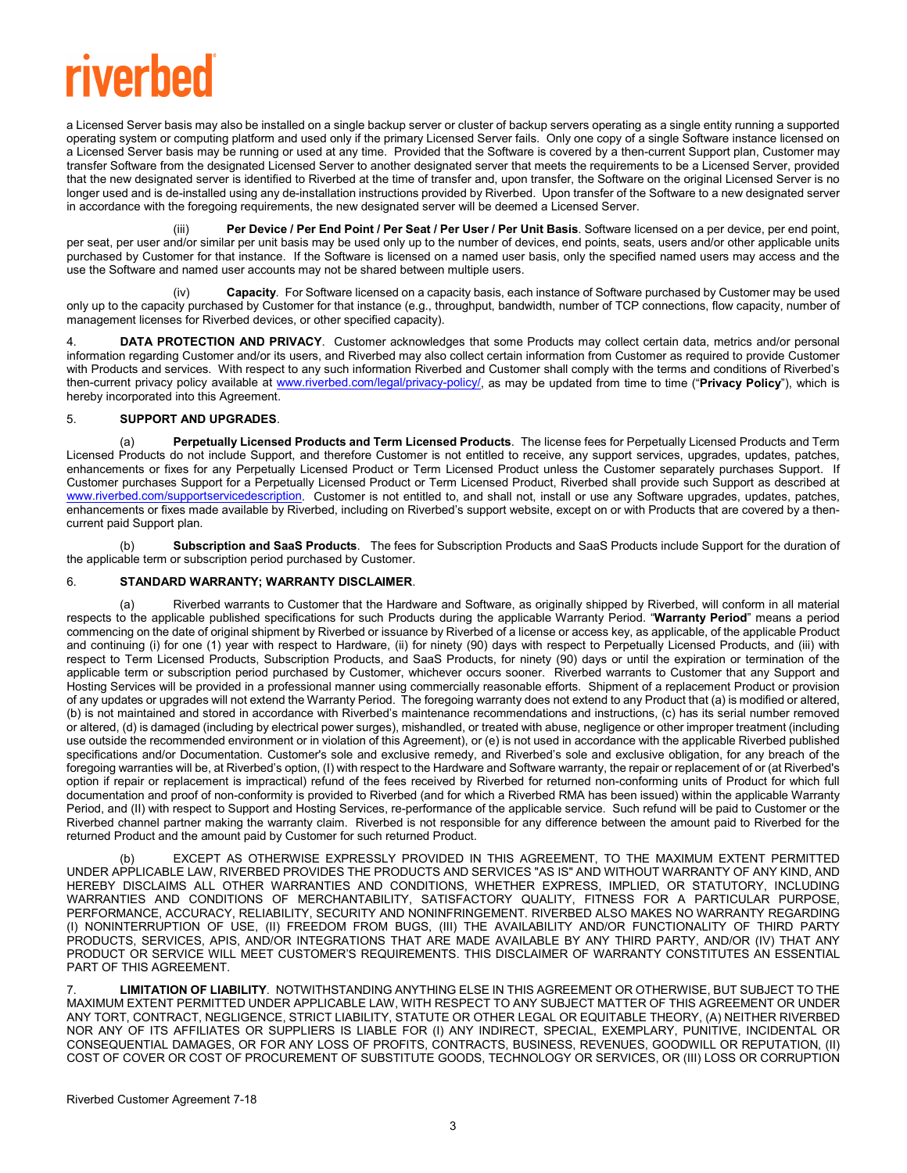# riverhed

a Licensed Server basis may also be installed on a single backup server or cluster of backup servers operating as a single entity running a supported operating system or computing platform and used only if the primary Licensed Server fails. Only one copy of a single Software instance licensed on a Licensed Server basis may be running or used at any time. Provided that the Software is covered by a then-current Support plan, Customer may transfer Software from the designated Licensed Server to another designated server that meets the requirements to be a Licensed Server, provided that the new designated server is identified to Riverbed at the time of transfer and, upon transfer, the Software on the original Licensed Server is no longer used and is de-installed using any de-installation instructions provided by Riverbed. Upon transfer of the Software to a new designated server in accordance with the foregoing requirements, the new designated server will be deemed a Licensed Server.

(iii) **Per Device / Per End Point / Per Seat / Per User / Per Unit Basis**. Software licensed on a per device, per end point, per seat, per user and/or similar per unit basis may be used only up to the number of devices, end points, seats, users and/or other applicable units purchased by Customer for that instance. If the Software is licensed on a named user basis, only the specified named users may access and the use the Software and named user accounts may not be shared between multiple users.

(iv) **Capacity**. For Software licensed on a capacity basis, each instance of Software purchased by Customer may be used only up to the capacity purchased by Customer for that instance (e.g., throughput, bandwidth, number of TCP connections, flow capacity, number of management licenses for Riverbed devices, or other specified capacity).

DATA PROTECTION AND PRIVACY. Customer acknowledges that some Products may collect certain data, metrics and/or personal information regarding Customer and/or its users, and Riverbed may also collect certain information from Customer as required to provide Customer with Products and services. With respect to any such information Riverbed and Customer shall comply with the terms and conditions of Riverbed's then-current privacy policy available at [www.riverbed.com/legal/privacy-policy/,](http://www.riverbed.com/legal/privacy-policy/) as may be updated from time to time ("**Privacy Policy**"), which is hereby incorporated into this Agreement.

#### 5. **SUPPORT AND UPGRADES**.

(a) **Perpetually Licensed Products and Term Licensed Products**. The license fees for Perpetually Licensed Products and Term Licensed Products do not include Support, and therefore Customer is not entitled to receive, any support services, upgrades, updates, patches, enhancements or fixes for any Perpetually Licensed Product or Term Licensed Product unless the Customer separately purchases Support. If Customer purchases Support for a Perpetually Licensed Product or Term Licensed Product, Riverbed shall provide such Support as described at [www.riverbed.com/supportservicedescription.](http://www.riverbed.com/supportservicedescription) Customer is not entitled to, and shall not, install or use any Software upgrades, updates, patches, enhancements or fixes made available by Riverbed, including on Riverbed's support website, except on or with Products that are covered by a thencurrent paid Support plan.

(b) **Subscription and SaaS Products**. The fees for Subscription Products and SaaS Products include Support for the duration of the applicable term or subscription period purchased by Customer.

### 6. **STANDARD WARRANTY; WARRANTY DISCLAIMER**.

(a) Riverbed warrants to Customer that the Hardware and Software, as originally shipped by Riverbed, will conform in all material respects to the applicable published specifications for such Products during the applicable Warranty Period. "**Warranty Period**" means a period commencing on the date of original shipment by Riverbed or issuance by Riverbed of a license or access key, as applicable, of the applicable Product and continuing (i) for one (1) year with respect to Hardware, (ii) for ninety (90) days with respect to Perpetually Licensed Products, and (iii) with respect to Term Licensed Products, Subscription Products, and SaaS Products, for ninety (90) days or until the expiration or termination of the applicable term or subscription period purchased by Customer, whichever occurs sooner. Riverbed warrants to Customer that any Support and Hosting Services will be provided in a professional manner using commercially reasonable efforts. Shipment of a replacement Product or provision of any updates or upgrades will not extend the Warranty Period. The foregoing warranty does not extend to any Product that (a) is modified or altered, (b) is not maintained and stored in accordance with Riverbed's maintenance recommendations and instructions, (c) has its serial number removed or altered, (d) is damaged (including by electrical power surges), mishandled, or treated with abuse, negligence or other improper treatment (including use outside the recommended environment or in violation of this Agreement), or (e) is not used in accordance with the applicable Riverbed published specifications and/or Documentation. Customer's sole and exclusive remedy, and Riverbed's sole and exclusive obligation, for any breach of the foregoing warranties will be, at Riverbed's option, (I) with respect to the Hardware and Software warranty, the repair or replacement of or (at Riverbed's option if repair or replacement is impractical) refund of the fees received by Riverbed for returned non-conforming units of Product for which full documentation and proof of non-conformity is provided to Riverbed (and for which a Riverbed RMA has been issued) within the applicable Warranty Period, and (II) with respect to Support and Hosting Services, re-performance of the applicable service. Such refund will be paid to Customer or the Riverbed channel partner making the warranty claim. Riverbed is not responsible for any difference between the amount paid to Riverbed for the returned Product and the amount paid by Customer for such returned Product.

<span id="page-2-0"></span>EXCEPT AS OTHERWISE EXPRESSLY PROVIDED IN THIS AGREEMENT, TO THE MAXIMUM EXTENT PERMITTED UNDER APPLICABLE LAW, RIVERBED PROVIDES THE PRODUCTS AND SERVICES "AS IS" AND WITHOUT WARRANTY OF ANY KIND, AND HEREBY DISCLAIMS ALL OTHER WARRANTIES AND CONDITIONS, WHETHER EXPRESS, IMPLIED, OR STATUTORY, INCLUDING WARRANTIES AND CONDITIONS OF MERCHANTABILITY, SATISFACTORY QUALITY, FITNESS FOR A PARTICULAR PURPOSE, PERFORMANCE, ACCURACY, RELIABILITY, SECURITY AND NONINFRINGEMENT. RIVERBED ALSO MAKES NO WARRANTY REGARDING (I) NONINTERRUPTION OF USE, (II) FREEDOM FROM BUGS, (III) THE AVAILABILITY AND/OR FUNCTIONALITY OF THIRD PARTY PRODUCTS, SERVICES, APIS, AND/OR INTEGRATIONS THAT ARE MADE AVAILABLE BY ANY THIRD PARTY, AND/OR (IV) THAT ANY PRODUCT OR SERVICE WILL MEET CUSTOMER'S REQUIREMENTS. THIS DISCLAIMER OF WARRANTY CONSTITUTES AN ESSENTIAL PART OF THIS AGREEMENT.

<span id="page-2-1"></span>7. **LIMITATION OF LIABILITY**. NOTWITHSTANDING ANYTHING ELSE IN THIS AGREEMENT OR OTHERWISE, BUT SUBJECT TO THE MAXIMUM EXTENT PERMITTED UNDER APPLICABLE LAW, WITH RESPECT TO ANY SUBJECT MATTER OF THIS AGREEMENT OR UNDER ANY TORT, CONTRACT, NEGLIGENCE, STRICT LIABILITY, STATUTE OR OTHER LEGAL OR EQUITABLE THEORY, (A) NEITHER RIVERBED NOR ANY OF ITS AFFILIATES OR SUPPLIERS IS LIABLE FOR (I) ANY INDIRECT, SPECIAL, EXEMPLARY, PUNITIVE, INCIDENTAL OR CONSEQUENTIAL DAMAGES, OR FOR ANY LOSS OF PROFITS, CONTRACTS, BUSINESS, REVENUES, GOODWILL OR REPUTATION, (II) COST OF COVER OR COST OF PROCUREMENT OF SUBSTITUTE GOODS, TECHNOLOGY OR SERVICES, OR (III) LOSS OR CORRUPTION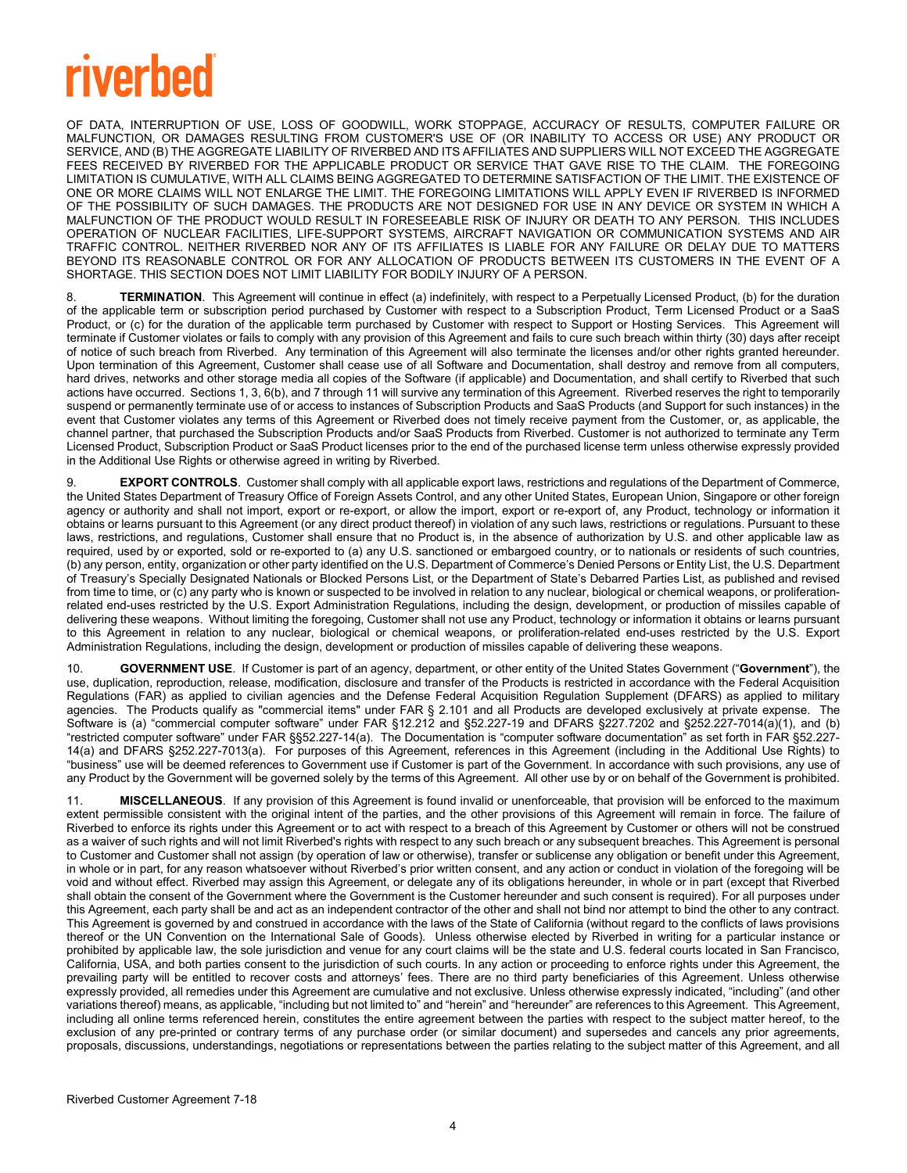# **riverbed**

OF DATA, INTERRUPTION OF USE, LOSS OF GOODWILL, WORK STOPPAGE, ACCURACY OF RESULTS, COMPUTER FAILURE OR MALFUNCTION, OR DAMAGES RESULTING FROM CUSTOMER'S USE OF (OR INABILITY TO ACCESS OR USE) ANY PRODUCT OR SERVICE, AND (B) THE AGGREGATE LIABILITY OF RIVERBED AND ITS AFFILIATES AND SUPPLIERS WILL NOT EXCEED THE AGGREGATE FEES RECEIVED BY RIVERBED FOR THE APPLICABLE PRODUCT OR SERVICE THAT GAVE RISE TO THE CLAIM. THE FOREGOING LIMITATION IS CUMULATIVE, WITH ALL CLAIMS BEING AGGREGATED TO DETERMINE SATISFACTION OF THE LIMIT. THE EXISTENCE OF ONE OR MORE CLAIMS WILL NOT ENLARGE THE LIMIT. THE FOREGOING LIMITATIONS WILL APPLY EVEN IF RIVERBED IS INFORMED OF THE POSSIBILITY OF SUCH DAMAGES. THE PRODUCTS ARE NOT DESIGNED FOR USE IN ANY DEVICE OR SYSTEM IN WHICH A MALFUNCTION OF THE PRODUCT WOULD RESULT IN FORESEEABLE RISK OF INJURY OR DEATH TO ANY PERSON. THIS INCLUDES OPERATION OF NUCLEAR FACILITIES, LIFE-SUPPORT SYSTEMS, AIRCRAFT NAVIGATION OR COMMUNICATION SYSTEMS AND AIR TRAFFIC CONTROL. NEITHER RIVERBED NOR ANY OF ITS AFFILIATES IS LIABLE FOR ANY FAILURE OR DELAY DUE TO MATTERS BEYOND ITS REASONABLE CONTROL OR FOR ANY ALLOCATION OF PRODUCTS BETWEEN ITS CUSTOMERS IN THE EVENT OF A SHORTAGE. THIS SECTION DOES NOT LIMIT LIABILITY FOR BODILY INJURY OF A PERSON.

<span id="page-3-1"></span>TERMINATION. This Agreement will continue in effect (a) indefinitely, with respect to a Perpetually Licensed Product, (b) for the duration of the applicable term or subscription period purchased by Customer with respect to a Subscription Product, Term Licensed Product or a SaaS Product, or (c) for the duration of the applicable term purchased by Customer with respect to Support or Hosting Services. This Agreement will terminate if Customer violates or fails to comply with any provision of this Agreement and fails to cure such breach within thirty (30) days after receipt of notice of such breach from Riverbed. Any termination of this Agreement will also terminate the licenses and/or other rights granted hereunder. Upon termination of this Agreement, Customer shall cease use of all Software and Documentation, shall destroy and remove from all computers, hard drives, networks and other storage media all copies of the Software (if applicable) and Documentation, and shall certify to Riverbed that such actions have occurred. Sections [1,](#page-0-0) [3,](#page-1-0) [6\(b\),](#page-2-0) an[d 7](#page-2-1) throug[h 11](#page-3-0) will survive any termination of this Agreement. Riverbed reserves the right to temporarily suspend or permanently terminate use of or access to instances of Subscription Products and SaaS Products (and Support for such instances) in the event that Customer violates any terms of this Agreement or Riverbed does not timely receive payment from the Customer, or, as applicable, the channel partner, that purchased the Subscription Products and/or SaaS Products from Riverbed. Customer is not authorized to terminate any Term Licensed Product, Subscription Product or SaaS Product licenses prior to the end of the purchased license term unless otherwise expressly provided in the Additional Use Rights or otherwise agreed in writing by Riverbed.

9. **EXPORT CONTROLS**. Customer shall comply with all applicable export laws, restrictions and regulations of the Department of Commerce, the United States Department of Treasury Office of Foreign Assets Control, and any other United States, European Union, Singapore or other foreign agency or authority and shall not import, export or re-export, or allow the import, export or re-export of, any Product, technology or information it obtains or learns pursuant to this Agreement (or any direct product thereof) in violation of any such laws, restrictions or regulations. Pursuant to these laws, restrictions, and regulations, Customer shall ensure that no Product is, in the absence of authorization by U.S. and other applicable law as required, used by or exported, sold or re-exported to (a) any U.S. sanctioned or embargoed country, or to nationals or residents of such countries, (b) any person, entity, organization or other party identified on the U.S. Department of Commerce's Denied Persons or Entity List, the U.S. Department of Treasury's Specially Designated Nationals or Blocked Persons List, or the Department of State's Debarred Parties List, as published and revised from time to time, or (c) any party who is known or suspected to be involved in relation to any nuclear, biological or chemical weapons, or proliferationrelated end-uses restricted by the U.S. Export Administration Regulations, including the design, development, or production of missiles capable of delivering these weapons. Without limiting the foregoing, Customer shall not use any Product, technology or information it obtains or learns pursuant to this Agreement in relation to any nuclear, biological or chemical weapons, or proliferation-related end-uses restricted by the U.S. Export Administration Regulations, including the design, development or production of missiles capable of delivering these weapons.

10. **GOVERNMENT USE**. If Customer is part of an agency, department, or other entity of the United States Government ("**Government**"), the use, duplication, reproduction, release, modification, disclosure and transfer of the Products is restricted in accordance with the Federal Acquisition Regulations (FAR) as applied to civilian agencies and the Defense Federal Acquisition Regulation Supplement (DFARS) as applied to military agencies. The Products qualify as "commercial items" under FAR § 2.101 and all Products are developed exclusively at private expense. The Software is (a) "commercial computer software" under FAR §12.212 and §52.227-19 and DFARS §227.7202 and §252.227-7014(a)(1), and (b) "restricted computer software" under FAR §§52.227-14(a). The Documentation is "computer software documentation" as set forth in FAR §52.227- 14(a) and DFARS §252.227-7013(a). For purposes of this Agreement, references in this Agreement (including in the Additional Use Rights) to "business" use will be deemed references to Government use if Customer is part of the Government. In accordance with such provisions, any use of any Product by the Government will be governed solely by the terms of this Agreement. All other use by or on behalf of the Government is prohibited.

<span id="page-3-0"></span>11. **MISCELLANEOUS**. If any provision of this Agreement is found invalid or unenforceable, that provision will be enforced to the maximum extent permissible consistent with the original intent of the parties, and the other provisions of this Agreement will remain in force. The failure of Riverbed to enforce its rights under this Agreement or to act with respect to a breach of this Agreement by Customer or others will not be construed as a waiver of such rights and will not limit Riverbed's rights with respect to any such breach or any subsequent breaches. This Agreement is personal to Customer and Customer shall not assign (by operation of law or otherwise), transfer or sublicense any obligation or benefit under this Agreement, in whole or in part, for any reason whatsoever without Riverbed's prior written consent, and any action or conduct in violation of the foregoing will be void and without effect. Riverbed may assign this Agreement, or delegate any of its obligations hereunder, in whole or in part (except that Riverbed shall obtain the consent of the Government where the Government is the Customer hereunder and such consent is required). For all purposes under this Agreement, each party shall be and act as an independent contractor of the other and shall not bind nor attempt to bind the other to any contract. This Agreement is governed by and construed in accordance with the laws of the State of California (without regard to the conflicts of laws provisions thereof or the UN Convention on the International Sale of Goods). Unless otherwise elected by Riverbed in writing for a particular instance or prohibited by applicable law, the sole jurisdiction and venue for any court claims will be the state and U.S. federal courts located in San Francisco, California, USA, and both parties consent to the jurisdiction of such courts. In any action or proceeding to enforce rights under this Agreement, the prevailing party will be entitled to recover costs and attorneys' fees. There are no third party beneficiaries of this Agreement. Unless otherwise expressly provided, all remedies under this Agreement are cumulative and not exclusive. Unless otherwise expressly indicated, "including" (and other variations thereof) means, as applicable, "including but not limited to" and "herein" and "hereunder" are references to this Agreement. This Agreement, including all online terms referenced herein, constitutes the entire agreement between the parties with respect to the subject matter hereof, to the exclusion of any pre-printed or contrary terms of any purchase order (or similar document) and supersedes and cancels any prior agreements, proposals, discussions, understandings, negotiations or representations between the parties relating to the subject matter of this Agreement, and all